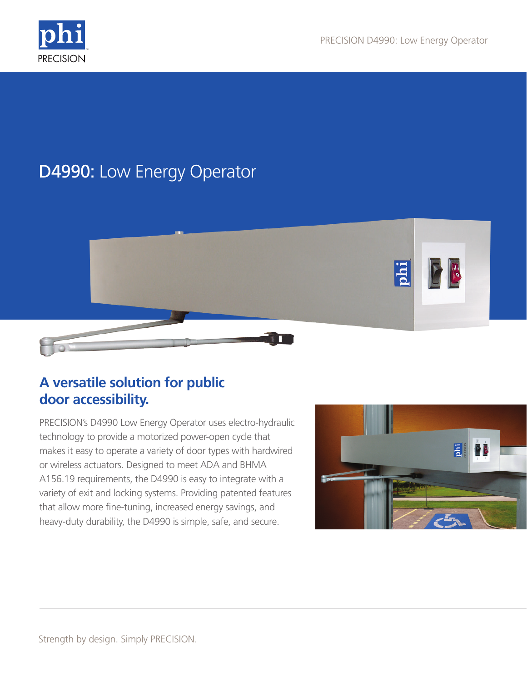

# D4990: Low Energy Operator



## **A versatile solution for public door accessibility.**

PRECISION's D4990 Low Energy Operator uses electro-hydraulic technology to provide a motorized power-open cycle that makes it easy to operate a variety of door types with hardwired or wireless actuators. Designed to meet ADA and BHMA A156.19 requirements, the D4990 is easy to integrate with a variety of exit and locking systems. Providing patented features that allow more fine-tuning, increased energy savings, and heavy-duty durability, the D4990 is simple, safe, and secure.